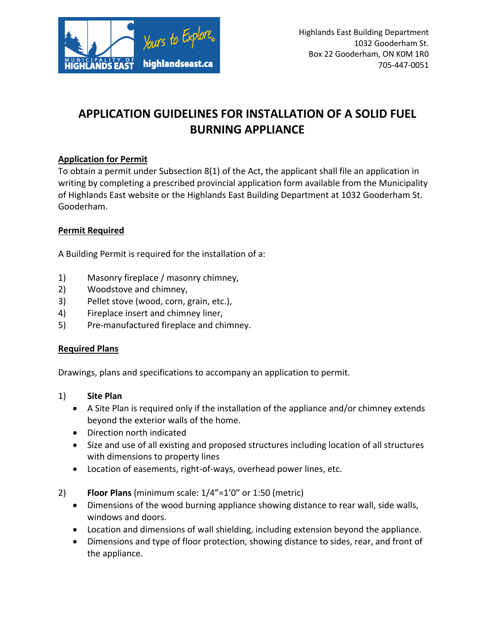

# **APPLICATION GUIDELINES FOR INSTALLATION OF A SOLID FUEL BURNING APPLIANCE**

#### **Application for Permit**

To obtain a permit under Subsection 8(1) of the Act, the applicant shall file an application in writing by completing a prescribed provincial application form available from the Municipality of Highlands East website or the Highlands East Building Department at 1032 Gooderham St. Gooderham.

#### **Permit Required**

A Building Permit is required for the installation of a:

- 1) Masonry fireplace / masonry chimney,
- 2) Woodstove and chimney,
- 3) Pellet stove (wood, corn, grain, etc.),
- 4) Fireplace insert and chimney liner,
- 5) Pre-manufactured fireplace and chimney.

#### **Required Plans**

Drawings, plans and specifications to accompany an application to permit.

- 1) **Site Plan**
	- A Site Plan is required only if the installation of the appliance and/or chimney extends beyond the exterior walls of the home.
	- Direction north indicated
	- Size and use of all existing and proposed structures including location of all structures with dimensions to property lines
	- Location of easements, right-of-ways, overhead power lines, etc.
- 2) **Floor Plans** (minimum scale: 1/4"=1'0" or 1:50 (metric)
	- Dimensions of the wood burning appliance showing distance to rear wall, side walls, windows and doors.
	- Location and dimensions of wall shielding, including extension beyond the appliance.
	- Dimensions and type of floor protection, showing distance to sides, rear, and front of the appliance.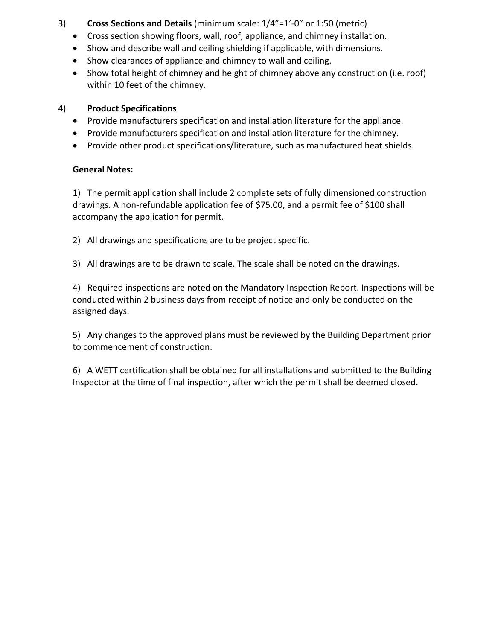- 3) **Cross Sections and Details** (minimum scale: 1/4"=1'-0" or 1:50 (metric)
	- Cross section showing floors, wall, roof, appliance, and chimney installation.
	- Show and describe wall and ceiling shielding if applicable, with dimensions.
	- Show clearances of appliance and chimney to wall and ceiling.
	- Show total height of chimney and height of chimney above any construction (i.e. roof) within 10 feet of the chimney.

### 4) **Product Specifications**

- Provide manufacturers specification and installation literature for the appliance.
- Provide manufacturers specification and installation literature for the chimney.
- Provide other product specifications/literature, such as manufactured heat shields.

## **General Notes:**

1) The permit application shall include 2 complete sets of fully dimensioned construction drawings. A non-refundable application fee of \$75.00, and a permit fee of \$100 shall accompany the application for permit.

- 2) All drawings and specifications are to be project specific.
- 3) All drawings are to be drawn to scale. The scale shall be noted on the drawings.

4) Required inspections are noted on the Mandatory Inspection Report. Inspections will be conducted within 2 business days from receipt of notice and only be conducted on the assigned days.

5) Any changes to the approved plans must be reviewed by the Building Department prior to commencement of construction.

6) A WETT certification shall be obtained for all installations and submitted to the Building Inspector at the time of final inspection, after which the permit shall be deemed closed.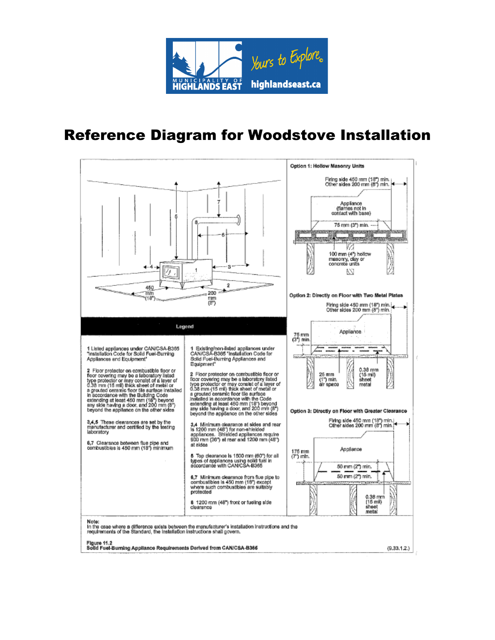

# Reference Diagram for Woodstove Installation